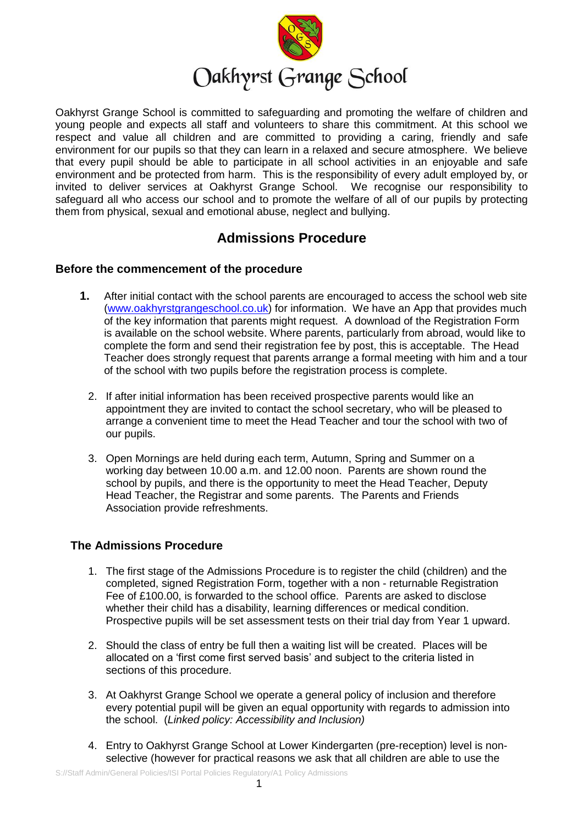

# Oakhyrst Grange School

Oakhyrst Grange School is committed to safeguarding and promoting the welfare of children and young people and expects all staff and volunteers to share this commitment. At this school we respect and value all children and are committed to providing a caring, friendly and safe environment for our pupils so that they can learn in a relaxed and secure atmosphere. We believe that every pupil should be able to participate in all school activities in an enjoyable and safe environment and be protected from harm. This is the responsibility of every adult employed by, or invited to deliver services at Oakhyrst Grange School. We recognise our responsibility to safeguard all who access our school and to promote the welfare of all of our pupils by protecting them from physical, sexual and emotional abuse, neglect and bullying.

## **Admissions Procedure**

### **Before the commencement of the procedure**

- **1.** After initial contact with the school parents are encouraged to access the school web site [\(www.oakhyrstgrangeschool.co.uk\)](http://www.oakhyrstgrangeschool.co.uk/) for information. We have an App that provides much of the key information that parents might request. A download of the Registration Form is available on the school website. Where parents, particularly from abroad, would like to complete the form and send their registration fee by post, this is acceptable. The Head Teacher does strongly request that parents arrange a formal meeting with him and a tour of the school with two pupils before the registration process is complete.
	- 2. If after initial information has been received prospective parents would like an appointment they are invited to contact the school secretary, who will be pleased to arrange a convenient time to meet the Head Teacher and tour the school with two of our pupils.
	- 3. Open Mornings are held during each term, Autumn, Spring and Summer on a working day between 10.00 a.m. and 12.00 noon. Parents are shown round the school by pupils, and there is the opportunity to meet the Head Teacher, Deputy Head Teacher, the Registrar and some parents. The Parents and Friends Association provide refreshments.

### **The Admissions Procedure**

- 1. The first stage of the Admissions Procedure is to register the child (children) and the completed, signed Registration Form, together with a non - returnable Registration Fee of £100.00, is forwarded to the school office. Parents are asked to disclose whether their child has a disability, learning differences or medical condition. Prospective pupils will be set assessment tests on their trial day from Year 1 upward.
- 2. Should the class of entry be full then a waiting list will be created. Places will be allocated on a 'first come first served basis' and subject to the criteria listed in sections of this procedure.
- 3. At Oakhyrst Grange School we operate a general policy of inclusion and therefore every potential pupil will be given an equal opportunity with regards to admission into the school. (*Linked policy: Accessibility and Inclusion)*
- 4. Entry to Oakhyrst Grange School at Lower Kindergarten (pre-reception) level is nonselective (however for practical reasons we ask that all children are able to use the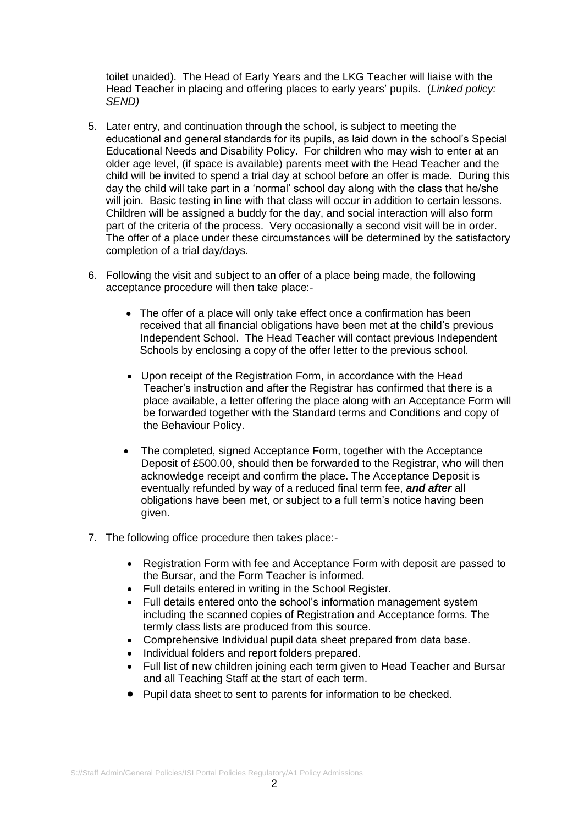toilet unaided). The Head of Early Years and the LKG Teacher will liaise with the Head Teacher in placing and offering places to early years' pupils. (*Linked policy: SEND)*

- 5. Later entry, and continuation through the school, is subject to meeting the educational and general standards for its pupils, as laid down in the school's Special Educational Needs and Disability Policy. For children who may wish to enter at an older age level, (if space is available) parents meet with the Head Teacher and the child will be invited to spend a trial day at school before an offer is made. During this day the child will take part in a 'normal' school day along with the class that he/she will join. Basic testing in line with that class will occur in addition to certain lessons. Children will be assigned a buddy for the day, and social interaction will also form part of the criteria of the process. Very occasionally a second visit will be in order. The offer of a place under these circumstances will be determined by the satisfactory completion of a trial day/days.
- 6. Following the visit and subject to an offer of a place being made, the following acceptance procedure will then take place:-
	- The offer of a place will only take effect once a confirmation has been received that all financial obligations have been met at the child's previous Independent School. The Head Teacher will contact previous Independent Schools by enclosing a copy of the offer letter to the previous school.
	- Upon receipt of the Registration Form, in accordance with the Head Teacher's instruction and after the Registrar has confirmed that there is a place available, a letter offering the place along with an Acceptance Form will be forwarded together with the Standard terms and Conditions and copy of the Behaviour Policy.
	- The completed, signed Acceptance Form, together with the Acceptance Deposit of £500.00, should then be forwarded to the Registrar, who will then acknowledge receipt and confirm the place. The Acceptance Deposit is eventually refunded by way of a reduced final term fee, *and after* all obligations have been met, or subject to a full term's notice having been given.
- 7. The following office procedure then takes place:-
	- Registration Form with fee and Acceptance Form with deposit are passed to the Bursar, and the Form Teacher is informed.
	- Full details entered in writing in the School Register.
	- Full details entered onto the school's information management system including the scanned copies of Registration and Acceptance forms. The termly class lists are produced from this source.
	- Comprehensive Individual pupil data sheet prepared from data base.
	- Individual folders and report folders prepared.
	- Full list of new children joining each term given to Head Teacher and Bursar and all Teaching Staff at the start of each term.
	- Pupil data sheet to sent to parents for information to be checked.